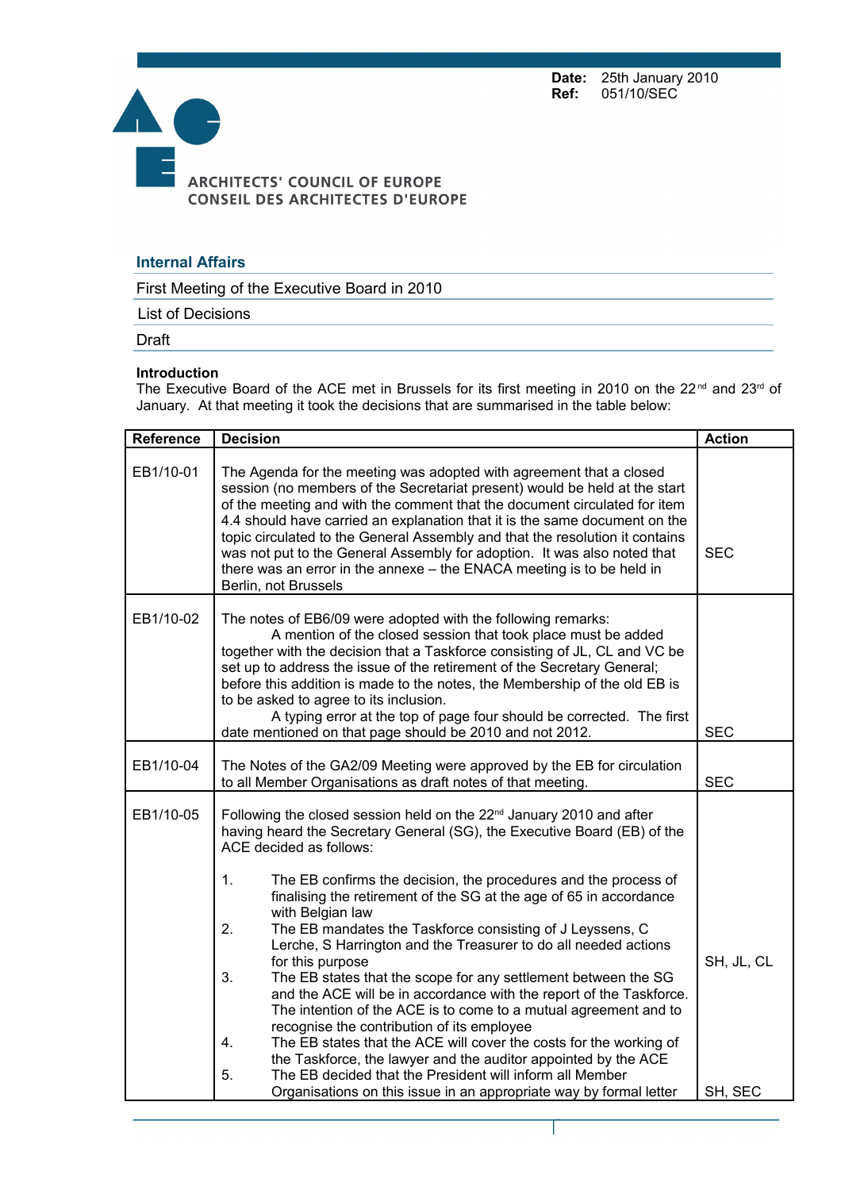**Date:** 25th January 2010<br>**Ref:** 051/10/SEC 051/10/SEC



## **Internal Affairs**

First Meeting of the Executive Board in 2010

List of Decisions

Draft

## **Introduction**

The Executive Board of the ACE met in Brussels for its first meeting in 2010 on the 22<sup>nd</sup> and 23<sup>rd</sup> of January. At that meeting it took the decisions that are summarised in the table below:

| Reference | <b>Decision</b>                                                                                                                                                                                                                                                                                                                                                                                                                                                                                                                                                                                                                                                                                                                                                                                                                                                                                                                                                                                       | <b>Action</b> |
|-----------|-------------------------------------------------------------------------------------------------------------------------------------------------------------------------------------------------------------------------------------------------------------------------------------------------------------------------------------------------------------------------------------------------------------------------------------------------------------------------------------------------------------------------------------------------------------------------------------------------------------------------------------------------------------------------------------------------------------------------------------------------------------------------------------------------------------------------------------------------------------------------------------------------------------------------------------------------------------------------------------------------------|---------------|
| EB1/10-01 | The Agenda for the meeting was adopted with agreement that a closed<br>session (no members of the Secretariat present) would be held at the start<br>of the meeting and with the comment that the document circulated for item<br>4.4 should have carried an explanation that it is the same document on the<br>topic circulated to the General Assembly and that the resolution it contains<br>was not put to the General Assembly for adoption. It was also noted that<br>there was an error in the annexe - the ENACA meeting is to be held in<br>Berlin, not Brussels                                                                                                                                                                                                                                                                                                                                                                                                                             | <b>SEC</b>    |
| EB1/10-02 | The notes of EB6/09 were adopted with the following remarks:<br>A mention of the closed session that took place must be added<br>together with the decision that a Taskforce consisting of JL, CL and VC be<br>set up to address the issue of the retirement of the Secretary General;<br>before this addition is made to the notes, the Membership of the old EB is<br>to be asked to agree to its inclusion.<br>A typing error at the top of page four should be corrected. The first<br>date mentioned on that page should be 2010 and not 2012.                                                                                                                                                                                                                                                                                                                                                                                                                                                   | <b>SEC</b>    |
| EB1/10-04 | The Notes of the GA2/09 Meeting were approved by the EB for circulation<br>to all Member Organisations as draft notes of that meeting.                                                                                                                                                                                                                                                                                                                                                                                                                                                                                                                                                                                                                                                                                                                                                                                                                                                                | <b>SEC</b>    |
| EB1/10-05 | Following the closed session held on the 22 <sup>nd</sup> January 2010 and after<br>having heard the Secretary General (SG), the Executive Board (EB) of the<br>ACE decided as follows:<br>1.<br>The EB confirms the decision, the procedures and the process of<br>finalising the retirement of the SG at the age of 65 in accordance<br>with Belgian law<br>The EB mandates the Taskforce consisting of J Leyssens, C<br>2.<br>Lerche, S Harrington and the Treasurer to do all needed actions<br>for this purpose<br>3.<br>The EB states that the scope for any settlement between the SG<br>and the ACE will be in accordance with the report of the Taskforce.<br>The intention of the ACE is to come to a mutual agreement and to<br>recognise the contribution of its employee<br>The EB states that the ACE will cover the costs for the working of<br>4.<br>the Taskforce, the lawyer and the auditor appointed by the ACE<br>The EB decided that the President will inform all Member<br>5. | SH, JL, CL    |
|           | Organisations on this issue in an appropriate way by formal letter                                                                                                                                                                                                                                                                                                                                                                                                                                                                                                                                                                                                                                                                                                                                                                                                                                                                                                                                    | SH, SEC       |

Page 1 sur 5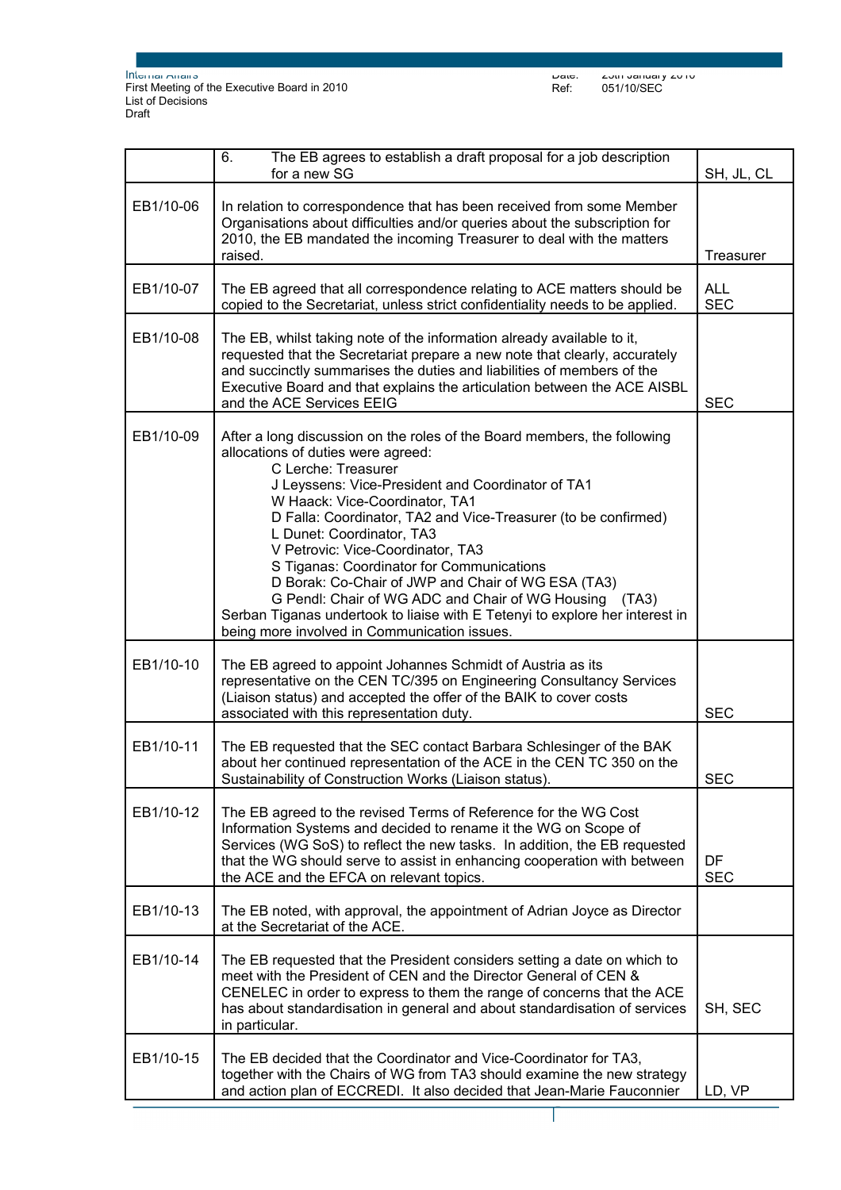|           | The EB agrees to establish a draft proposal for a job description<br>6.<br>for a new SG                                                                                                                                                                                                                                                                                                                                                                                                                                                                                                                                                                       | SH, JL, CL               |
|-----------|---------------------------------------------------------------------------------------------------------------------------------------------------------------------------------------------------------------------------------------------------------------------------------------------------------------------------------------------------------------------------------------------------------------------------------------------------------------------------------------------------------------------------------------------------------------------------------------------------------------------------------------------------------------|--------------------------|
| EB1/10-06 | In relation to correspondence that has been received from some Member<br>Organisations about difficulties and/or queries about the subscription for<br>2010, the EB mandated the incoming Treasurer to deal with the matters<br>raised.                                                                                                                                                                                                                                                                                                                                                                                                                       | <b>Treasurer</b>         |
| EB1/10-07 | The EB agreed that all correspondence relating to ACE matters should be<br>copied to the Secretariat, unless strict confidentiality needs to be applied.                                                                                                                                                                                                                                                                                                                                                                                                                                                                                                      | <b>ALL</b><br><b>SEC</b> |
| EB1/10-08 | The EB, whilst taking note of the information already available to it,<br>requested that the Secretariat prepare a new note that clearly, accurately<br>and succinctly summarises the duties and liabilities of members of the<br>Executive Board and that explains the articulation between the ACE AISBL<br>and the ACE Services EEIG                                                                                                                                                                                                                                                                                                                       | <b>SEC</b>               |
| EB1/10-09 | After a long discussion on the roles of the Board members, the following<br>allocations of duties were agreed:<br>C Lerche: Treasurer<br>J Leyssens: Vice-President and Coordinator of TA1<br>W Haack: Vice-Coordinator, TA1<br>D Falla: Coordinator, TA2 and Vice-Treasurer (to be confirmed)<br>L Dunet: Coordinator, TA3<br>V Petrovic: Vice-Coordinator, TA3<br>S Tiganas: Coordinator for Communications<br>D Borak: Co-Chair of JWP and Chair of WG ESA (TA3)<br>G Pendl: Chair of WG ADC and Chair of WG Housing (TA3)<br>Serban Tiganas undertook to liaise with E Tetenyi to explore her interest in<br>being more involved in Communication issues. |                          |
| EB1/10-10 | The EB agreed to appoint Johannes Schmidt of Austria as its<br>representative on the CEN TC/395 on Engineering Consultancy Services<br>(Liaison status) and accepted the offer of the BAIK to cover costs<br>associated with this representation duty.                                                                                                                                                                                                                                                                                                                                                                                                        | <b>SEC</b>               |
| EB1/10-11 | The EB requested that the SEC contact Barbara Schlesinger of the BAK<br>about her continued representation of the ACE in the CEN TC 350 on the<br>Sustainability of Construction Works (Liaison status).                                                                                                                                                                                                                                                                                                                                                                                                                                                      | <b>SEC</b>               |
| EB1/10-12 | The EB agreed to the revised Terms of Reference for the WG Cost<br>Information Systems and decided to rename it the WG on Scope of<br>Services (WG SoS) to reflect the new tasks. In addition, the EB requested<br>that the WG should serve to assist in enhancing cooperation with between<br>the ACE and the EFCA on relevant topics.                                                                                                                                                                                                                                                                                                                       | DF<br><b>SEC</b>         |
| EB1/10-13 | The EB noted, with approval, the appointment of Adrian Joyce as Director<br>at the Secretariat of the ACE.                                                                                                                                                                                                                                                                                                                                                                                                                                                                                                                                                    |                          |
| EB1/10-14 | The EB requested that the President considers setting a date on which to<br>meet with the President of CEN and the Director General of CEN &<br>CENELEC in order to express to them the range of concerns that the ACE<br>has about standardisation in general and about standardisation of services<br>in particular.                                                                                                                                                                                                                                                                                                                                        | SH, SEC                  |
| EB1/10-15 | The EB decided that the Coordinator and Vice-Coordinator for TA3,<br>together with the Chairs of WG from TA3 should examine the new strategy<br>and action plan of ECCREDI. It also decided that Jean-Marie Fauconnier                                                                                                                                                                                                                                                                                                                                                                                                                                        | LD, VP                   |

Page 2 sur 5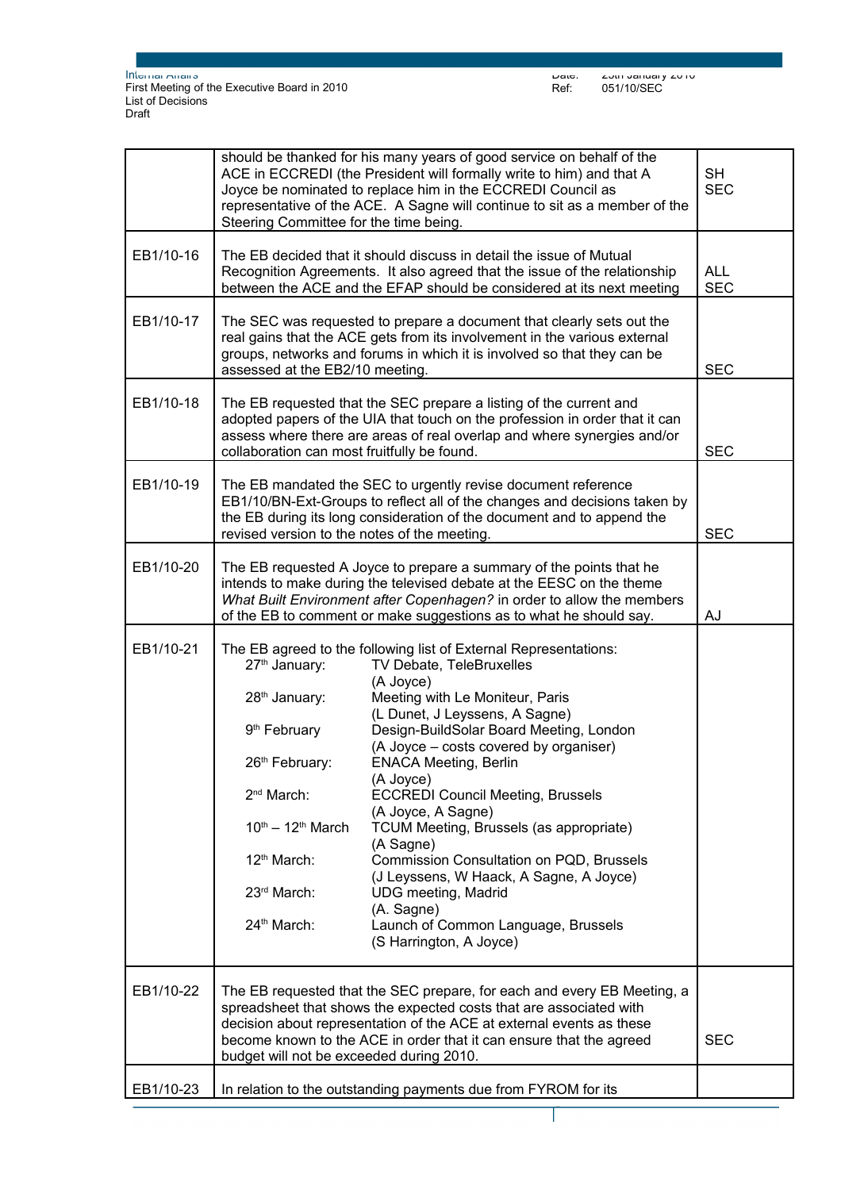|           | should be thanked for his many years of good service on behalf of the<br>ACE in ECCREDI (the President will formally write to him) and that A<br>Joyce be nominated to replace him in the ECCREDI Council as<br>representative of the ACE. A Sagne will continue to sit as a member of the<br>Steering Committee for the time being.     | <b>SH</b><br><b>SEC</b>                                                                                                                                                                                                                                                                                                                                                                                                                                                                                                                                                                                                                         |            |
|-----------|------------------------------------------------------------------------------------------------------------------------------------------------------------------------------------------------------------------------------------------------------------------------------------------------------------------------------------------|-------------------------------------------------------------------------------------------------------------------------------------------------------------------------------------------------------------------------------------------------------------------------------------------------------------------------------------------------------------------------------------------------------------------------------------------------------------------------------------------------------------------------------------------------------------------------------------------------------------------------------------------------|------------|
| EB1/10-16 | The EB decided that it should discuss in detail the issue of Mutual<br>Recognition Agreements. It also agreed that the issue of the relationship<br>between the ACE and the EFAP should be considered at its next meeting                                                                                                                | <b>ALL</b><br><b>SEC</b>                                                                                                                                                                                                                                                                                                                                                                                                                                                                                                                                                                                                                        |            |
| EB1/10-17 | The SEC was requested to prepare a document that clearly sets out the<br>real gains that the ACE gets from its involvement in the various external<br>groups, networks and forums in which it is involved so that they can be<br>assessed at the EB2/10 meeting.                                                                         | <b>SEC</b>                                                                                                                                                                                                                                                                                                                                                                                                                                                                                                                                                                                                                                      |            |
| EB1/10-18 | The EB requested that the SEC prepare a listing of the current and<br>adopted papers of the UIA that touch on the profession in order that it can<br>assess where there are areas of real overlap and where synergies and/or<br>collaboration can most fruitfully be found.                                                              |                                                                                                                                                                                                                                                                                                                                                                                                                                                                                                                                                                                                                                                 | <b>SEC</b> |
| EB1/10-19 | The EB mandated the SEC to urgently revise document reference<br>EB1/10/BN-Ext-Groups to reflect all of the changes and decisions taken by<br>the EB during its long consideration of the document and to append the<br>revised version to the notes of the meeting.                                                                     | <b>SEC</b>                                                                                                                                                                                                                                                                                                                                                                                                                                                                                                                                                                                                                                      |            |
| EB1/10-20 | The EB requested A Joyce to prepare a summary of the points that he<br>intends to make during the televised debate at the EESC on the theme<br>What Built Environment after Copenhagen? in order to allow the members<br>of the EB to comment or make suggestions as to what he should say.                                              | AJ                                                                                                                                                                                                                                                                                                                                                                                                                                                                                                                                                                                                                                              |            |
| EB1/10-21 | 27 <sup>th</sup> January:<br>28 <sup>th</sup> January:<br>9 <sup>th</sup> February<br>26th February:<br>2 <sup>nd</sup> March:<br>$10^{th} - 12^{th}$ March<br>12 <sup>th</sup> March:<br>23rd March:<br>24th March:                                                                                                                     | The EB agreed to the following list of External Representations:<br>TV Debate, TeleBruxelles<br>(A Joyce)<br>Meeting with Le Moniteur, Paris<br>(L Dunet, J Leyssens, A Sagne)<br>Design-BuildSolar Board Meeting, London<br>(A Joyce – costs covered by organiser)<br><b>ENACA Meeting, Berlin</b><br>(A Joyce)<br><b>ECCREDI Council Meeting, Brussels</b><br>(A Joyce, A Sagne)<br>TCUM Meeting, Brussels (as appropriate)<br>(A Sagne)<br>Commission Consultation on PQD, Brussels<br>(J Leyssens, W Haack, A Sagne, A Joyce)<br><b>UDG</b> meeting, Madrid<br>(A. Sagne)<br>Launch of Common Language, Brussels<br>(S Harrington, A Joyce) |            |
| EB1/10-22 | The EB requested that the SEC prepare, for each and every EB Meeting, a<br>spreadsheet that shows the expected costs that are associated with<br>decision about representation of the ACE at external events as these<br>become known to the ACE in order that it can ensure that the agreed<br>budget will not be exceeded during 2010. | <b>SEC</b>                                                                                                                                                                                                                                                                                                                                                                                                                                                                                                                                                                                                                                      |            |
| EB1/10-23 |                                                                                                                                                                                                                                                                                                                                          | In relation to the outstanding payments due from FYROM for its                                                                                                                                                                                                                                                                                                                                                                                                                                                                                                                                                                                  |            |

Page 3 sur 5

 $\overline{\phantom{a}}$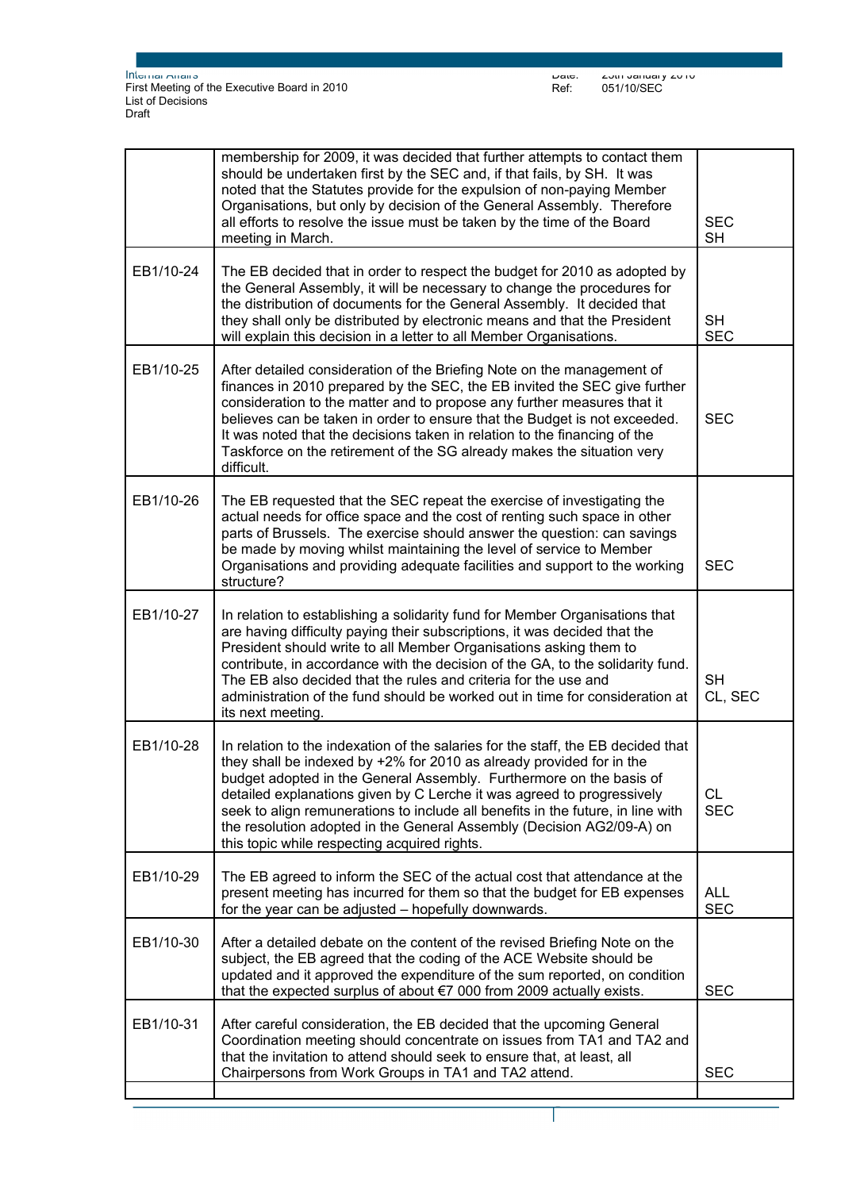|           | membership for 2009, it was decided that further attempts to contact them<br>should be undertaken first by the SEC and, if that fails, by SH. It was<br>noted that the Statutes provide for the expulsion of non-paying Member<br>Organisations, but only by decision of the General Assembly. Therefore<br>all efforts to resolve the issue must be taken by the time of the Board<br>meeting in March.                                                                                                              | <b>SEC</b><br><b>SH</b>  |
|-----------|-----------------------------------------------------------------------------------------------------------------------------------------------------------------------------------------------------------------------------------------------------------------------------------------------------------------------------------------------------------------------------------------------------------------------------------------------------------------------------------------------------------------------|--------------------------|
| EB1/10-24 | The EB decided that in order to respect the budget for 2010 as adopted by<br>the General Assembly, it will be necessary to change the procedures for<br>the distribution of documents for the General Assembly. It decided that<br>they shall only be distributed by electronic means and that the President<br>will explain this decision in a letter to all Member Organisations.                                                                                                                                   | <b>SH</b><br><b>SEC</b>  |
| EB1/10-25 | After detailed consideration of the Briefing Note on the management of<br>finances in 2010 prepared by the SEC, the EB invited the SEC give further<br>consideration to the matter and to propose any further measures that it<br>believes can be taken in order to ensure that the Budget is not exceeded.<br>It was noted that the decisions taken in relation to the financing of the<br>Taskforce on the retirement of the SG already makes the situation very<br>difficult.                                      | <b>SEC</b>               |
| EB1/10-26 | The EB requested that the SEC repeat the exercise of investigating the<br>actual needs for office space and the cost of renting such space in other<br>parts of Brussels. The exercise should answer the question: can savings<br>be made by moving whilst maintaining the level of service to Member<br>Organisations and providing adequate facilities and support to the working<br>structure?                                                                                                                     | <b>SEC</b>               |
| EB1/10-27 | In relation to establishing a solidarity fund for Member Organisations that<br>are having difficulty paying their subscriptions, it was decided that the<br>President should write to all Member Organisations asking them to<br>contribute, in accordance with the decision of the GA, to the solidarity fund.<br>The EB also decided that the rules and criteria for the use and<br>administration of the fund should be worked out in time for consideration at<br>its next meeting.                               | <b>SH</b><br>CL, SEC     |
| EB1/10-28 | In relation to the indexation of the salaries for the staff, the EB decided that<br>they shall be indexed by +2% for 2010 as already provided for in the<br>budget adopted in the General Assembly. Furthermore on the basis of<br>detailed explanations given by C Lerche it was agreed to progressively<br>seek to align remunerations to include all benefits in the future, in line with<br>the resolution adopted in the General Assembly (Decision AG2/09-A) on<br>this topic while respecting acquired rights. | <b>CL</b><br><b>SEC</b>  |
| EB1/10-29 | The EB agreed to inform the SEC of the actual cost that attendance at the<br>present meeting has incurred for them so that the budget for EB expenses<br>for the year can be adjusted - hopefully downwards.                                                                                                                                                                                                                                                                                                          | <b>ALL</b><br><b>SEC</b> |
| EB1/10-30 | After a detailed debate on the content of the revised Briefing Note on the<br>subject, the EB agreed that the coding of the ACE Website should be<br>updated and it approved the expenditure of the sum reported, on condition<br>that the expected surplus of about €7 000 from 2009 actually exists.                                                                                                                                                                                                                | <b>SEC</b>               |
| EB1/10-31 | After careful consideration, the EB decided that the upcoming General<br>Coordination meeting should concentrate on issues from TA1 and TA2 and<br>that the invitation to attend should seek to ensure that, at least, all<br>Chairpersons from Work Groups in TA1 and TA2 attend.                                                                                                                                                                                                                                    | <b>SEC</b>               |
|           |                                                                                                                                                                                                                                                                                                                                                                                                                                                                                                                       |                          |

Page 4 sur 5